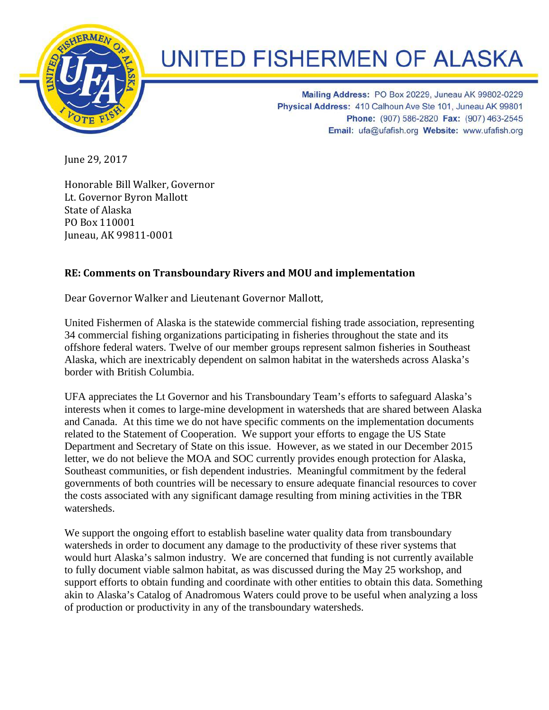

## **UNITED FISHERMEN OF ALASKA**

Mailing Address: PO Box 20229, Juneau AK 99802-0229 Physical Address: 410 Calhoun Ave Ste 101, Juneau AK 99801 Phone: (907) 586-2820 Fax: (907) 463-2545 Email: ufa@ufafish.org Website: www.ufafish.org

June 29, 2017

Honorable Bill Walker, Governor Lt. Governor Byron Mallott State of Alaska PO Box 110001 Juneau, AK 99811-0001

## **RE: Comments on Transboundary Rivers and MOU and implementation**

Dear Governor Walker and Lieutenant Governor Mallott,

United Fishermen of Alaska is the statewide commercial fishing trade association, representing 34 commercial fishing organizations participating in fisheries throughout the state and its offshore federal waters. Twelve of our member groups represent salmon fisheries in Southeast Alaska, which are inextricably dependent on salmon habitat in the watersheds across Alaska's border with British Columbia.

UFA appreciates the Lt Governor and his Transboundary Team's efforts to safeguard Alaska's interests when it comes to large-mine development in watersheds that are shared between Alaska and Canada. At this time we do not have specific comments on the implementation documents related to the Statement of Cooperation. We support your efforts to engage the US State Department and Secretary of State on this issue. However, as we stated in our December 2015 letter, we do not believe the MOA and SOC currently provides enough protection for Alaska, Southeast communities, or fish dependent industries. Meaningful commitment by the federal governments of both countries will be necessary to ensure adequate financial resources to cover the costs associated with any significant damage resulting from mining activities in the TBR watersheds.

We support the ongoing effort to establish baseline water quality data from transboundary watersheds in order to document any damage to the productivity of these river systems that would hurt Alaska's salmon industry. We are concerned that funding is not currently available to fully document viable salmon habitat, as was discussed during the May 25 workshop, and support efforts to obtain funding and coordinate with other entities to obtain this data. Something akin to Alaska's Catalog of Anadromous Waters could prove to be useful when analyzing a loss of production or productivity in any of the transboundary watersheds.